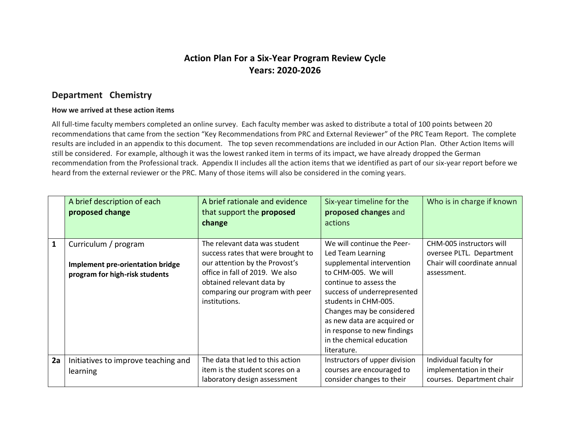## **Action Plan For a Six-Year Program Review Cycle Years: 2020-2026**

### **Department Chemistry**

#### **How we arrived at these action items**

All full-time faculty members completed an online survey. Each faculty member was asked to distribute a total of 100 points between 20 recommendations that came from the section "Key Recommendations from PRC and External Reviewer" of the PRC Team Report. The complete results are included in an appendix to this document. The top seven recommendations are included in our Action Plan. Other Action Items will still be considered. For example, although it was the lowest ranked item in terms of its impact, we have already dropped the German recommendation from the Professional track. Appendix II includes all the action items that we identified as part of our six-year report before we heard from the external reviewer or the PRC. Many of those items will also be considered in the coming years.

|              | A brief description of each<br>proposed change                                             | A brief rationale and evidence<br>that support the proposed<br>change                                                                                                                                                     | Six-year timeline for the<br>proposed changes and<br>actions                                                                                                                                                                                                                                                                | Who is in charge if known                                                                           |
|--------------|--------------------------------------------------------------------------------------------|---------------------------------------------------------------------------------------------------------------------------------------------------------------------------------------------------------------------------|-----------------------------------------------------------------------------------------------------------------------------------------------------------------------------------------------------------------------------------------------------------------------------------------------------------------------------|-----------------------------------------------------------------------------------------------------|
| $\mathbf{1}$ | Curriculum / program<br>Implement pre-orientation bridge<br>program for high-risk students | The relevant data was student<br>success rates that were brought to<br>our attention by the Provost's<br>office in fall of 2019. We also<br>obtained relevant data by<br>comparing our program with peer<br>institutions. | We will continue the Peer-<br>Led Team Learning<br>supplemental intervention<br>to CHM-005. We will<br>continue to assess the<br>success of underrepresented<br>students in CHM-005.<br>Changes may be considered<br>as new data are acquired or<br>in response to new findings<br>in the chemical education<br>literature. | CHM-005 instructors will<br>oversee PLTL. Department<br>Chair will coordinate annual<br>assessment. |
| 2a           | Initiatives to improve teaching and<br>learning                                            | The data that led to this action<br>item is the student scores on a<br>laboratory design assessment                                                                                                                       | Instructors of upper division<br>courses are encouraged to<br>consider changes to their                                                                                                                                                                                                                                     | Individual faculty for<br>implementation in their<br>courses. Department chair                      |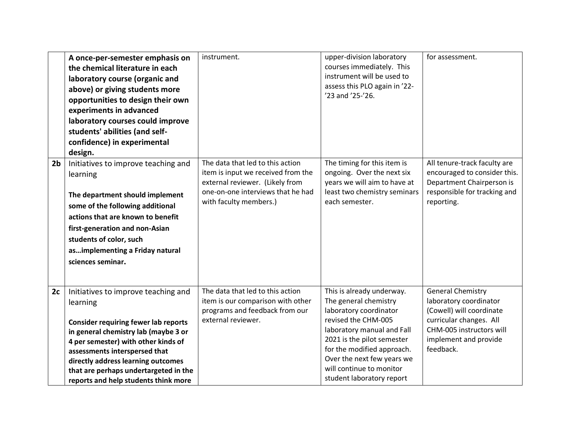|                | A once-per-semester emphasis on<br>the chemical literature in each<br>laboratory course (organic and<br>above) or giving students more<br>opportunities to design their own<br>experiments in advanced<br>laboratory courses could improve<br>students' abilities (and self-<br>confidence) in experimental<br>design.                | instrument.                                                                                                                                                              | upper-division laboratory<br>courses immediately. This<br>instrument will be used to<br>assess this PLO again in '22-<br>'23 and '25-'26.                                                                                                                                            | for assessment.                                                                                                                                                             |
|----------------|---------------------------------------------------------------------------------------------------------------------------------------------------------------------------------------------------------------------------------------------------------------------------------------------------------------------------------------|--------------------------------------------------------------------------------------------------------------------------------------------------------------------------|--------------------------------------------------------------------------------------------------------------------------------------------------------------------------------------------------------------------------------------------------------------------------------------|-----------------------------------------------------------------------------------------------------------------------------------------------------------------------------|
| 2 <sub>b</sub> | Initiatives to improve teaching and<br>learning<br>The department should implement<br>some of the following additional<br>actions that are known to benefit<br>first-generation and non-Asian<br>students of color, such<br>asimplementing a Friday natural<br>sciences seminar.                                                      | The data that led to this action<br>item is input we received from the<br>external reviewer. (Likely from<br>one-on-one interviews that he had<br>with faculty members.) | The timing for this item is<br>ongoing. Over the next six<br>years we will aim to have at<br>least two chemistry seminars<br>each semester.                                                                                                                                          | All tenure-track faculty are<br>encouraged to consider this.<br>Department Chairperson is<br>responsible for tracking and<br>reporting.                                     |
| 2c             | Initiatives to improve teaching and<br>learning<br><b>Consider requiring fewer lab reports</b><br>in general chemistry lab (maybe 3 or<br>4 per semester) with other kinds of<br>assessments interspersed that<br>directly address learning outcomes<br>that are perhaps undertargeted in the<br>reports and help students think more | The data that led to this action<br>item is our comparison with other<br>programs and feedback from our<br>external reviewer.                                            | This is already underway.<br>The general chemistry<br>laboratory coordinator<br>revised the CHM-005<br>laboratory manual and Fall<br>2021 is the pilot semester<br>for the modified approach.<br>Over the next few years we<br>will continue to monitor<br>student laboratory report | <b>General Chemistry</b><br>laboratory coordinator<br>(Cowell) will coordinate<br>curricular changes. All<br>CHM-005 instructors will<br>implement and provide<br>feedback. |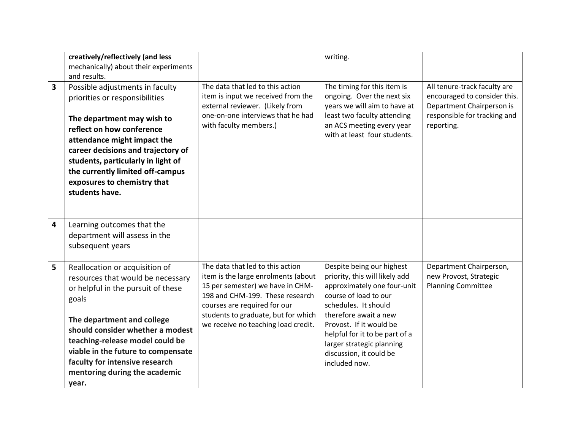|                         | creatively/reflectively (and less<br>mechanically) about their experiments<br>and results.                                                                                                                                                                                                                                                |                                                                                                                                                                                                                                                              | writing.                                                                                                                                                                                                                                                                                                   |                                                                                                                                         |
|-------------------------|-------------------------------------------------------------------------------------------------------------------------------------------------------------------------------------------------------------------------------------------------------------------------------------------------------------------------------------------|--------------------------------------------------------------------------------------------------------------------------------------------------------------------------------------------------------------------------------------------------------------|------------------------------------------------------------------------------------------------------------------------------------------------------------------------------------------------------------------------------------------------------------------------------------------------------------|-----------------------------------------------------------------------------------------------------------------------------------------|
| $\overline{\mathbf{3}}$ | Possible adjustments in faculty<br>priorities or responsibilities<br>The department may wish to<br>reflect on how conference<br>attendance might impact the<br>career decisions and trajectory of<br>students, particularly in light of<br>the currently limited off-campus<br>exposures to chemistry that<br>students have.              | The data that led to this action<br>item is input we received from the<br>external reviewer. (Likely from<br>one-on-one interviews that he had<br>with faculty members.)                                                                                     | The timing for this item is<br>ongoing. Over the next six<br>years we will aim to have at<br>least two faculty attending<br>an ACS meeting every year<br>with at least four students.                                                                                                                      | All tenure-track faculty are<br>encouraged to consider this.<br>Department Chairperson is<br>responsible for tracking and<br>reporting. |
| $\overline{4}$          | Learning outcomes that the<br>department will assess in the<br>subsequent years                                                                                                                                                                                                                                                           |                                                                                                                                                                                                                                                              |                                                                                                                                                                                                                                                                                                            |                                                                                                                                         |
| 5                       | Reallocation or acquisition of<br>resources that would be necessary<br>or helpful in the pursuit of these<br>goals<br>The department and college<br>should consider whether a modest<br>teaching-release model could be<br>viable in the future to compensate<br>faculty for intensive research<br>mentoring during the academic<br>year. | The data that led to this action<br>item is the large enrolments (about<br>15 per semester) we have in CHM-<br>198 and CHM-199. These research<br>courses are required for our<br>students to graduate, but for which<br>we receive no teaching load credit. | Despite being our highest<br>priority, this will likely add<br>approximately one four-unit<br>course of load to our<br>schedules. It should<br>therefore await a new<br>Provost. If it would be<br>helpful for it to be part of a<br>larger strategic planning<br>discussion, it could be<br>included now. | Department Chairperson,<br>new Provost, Strategic<br><b>Planning Committee</b>                                                          |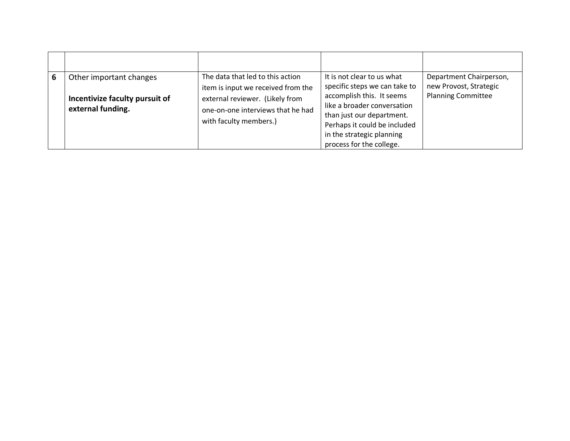| 6 | Other important changes<br>Incentivize faculty pursuit of<br>external funding. | The data that led to this action<br>item is input we received from the<br>external reviewer. (Likely from<br>one-on-one interviews that he had<br>with faculty members.) | It is not clear to us what<br>specific steps we can take to<br>accomplish this. It seems<br>like a broader conversation<br>than just our department.<br>Perhaps it could be included<br>in the strategic planning<br>process for the college. | Department Chairperson,<br>new Provost, Strategic<br><b>Planning Committee</b> |
|---|--------------------------------------------------------------------------------|--------------------------------------------------------------------------------------------------------------------------------------------------------------------------|-----------------------------------------------------------------------------------------------------------------------------------------------------------------------------------------------------------------------------------------------|--------------------------------------------------------------------------------|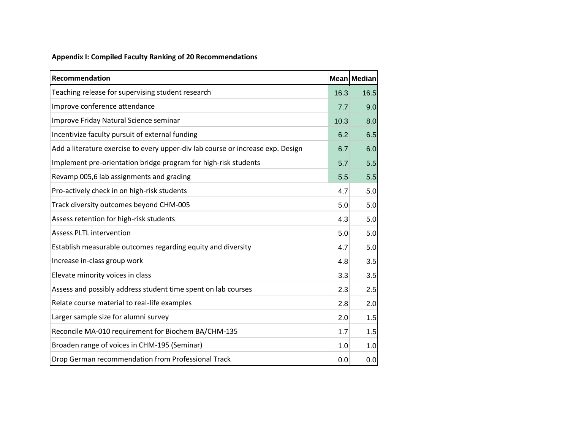### **Appendix I: Compiled Faculty Ranking of 20 Recommendations**

| <b>Recommendation</b>                                                           |      | Mean Median |
|---------------------------------------------------------------------------------|------|-------------|
| Teaching release for supervising student research                               | 16.3 | 16.5        |
| Improve conference attendance                                                   | 7.7  | 9.0         |
| Improve Friday Natural Science seminar                                          | 10.3 | 8.0         |
| Incentivize faculty pursuit of external funding                                 | 6.2  | 6.5         |
| Add a literature exercise to every upper-div lab course or increase exp. Design | 6.7  | 6.0         |
| Implement pre-orientation bridge program for high-risk students                 | 5.7  | 5.5         |
| Revamp 005,6 lab assignments and grading                                        | 5.5  | 5.5         |
| Pro-actively check in on high-risk students                                     | 4.7  | 5.0         |
| Track diversity outcomes beyond CHM-005                                         | 5.0  | 5.0         |
| Assess retention for high-risk students                                         | 4.3  | 5.0         |
| <b>Assess PLTL intervention</b>                                                 | 5.0  | 5.0         |
| Establish measurable outcomes regarding equity and diversity                    | 4.7  | 5.0         |
| Increase in-class group work                                                    | 4.8  | 3.5         |
| Elevate minority voices in class                                                | 3.3  | 3.5         |
| Assess and possibly address student time spent on lab courses                   | 2.3  | 2.5         |
| Relate course material to real-life examples                                    | 2.8  | 2.0         |
| Larger sample size for alumni survey                                            | 2.0  | 1.5         |
| Reconcile MA-010 requirement for Biochem BA/CHM-135                             | 1.7  | 1.5         |
| Broaden range of voices in CHM-195 (Seminar)                                    | 1.0  | 1.0         |
| Drop German recommendation from Professional Track                              | 0.0  | 0.0         |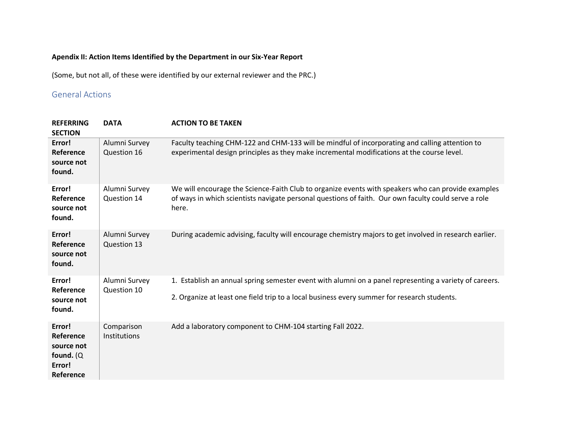### **Apendix II: Action Items Identified by the Department in our Six-Year Report**

(Some, but not all, of these were identified by our external reviewer and the PRC.)

### General Actions

| <b>REFERRING</b><br><b>SECTION</b>                                       | <b>DATA</b>                  | <b>ACTION TO BE TAKEN</b>                                                                                                                                                                                           |
|--------------------------------------------------------------------------|------------------------------|---------------------------------------------------------------------------------------------------------------------------------------------------------------------------------------------------------------------|
| Error!<br>Reference<br>source not<br>found.                              | Alumni Survey<br>Question 16 | Faculty teaching CHM-122 and CHM-133 will be mindful of incorporating and calling attention to<br>experimental design principles as they make incremental modifications at the course level.                        |
| Error!<br>Reference<br>source not<br>found.                              | Alumni Survey<br>Question 14 | We will encourage the Science-Faith Club to organize events with speakers who can provide examples<br>of ways in which scientists navigate personal questions of faith. Our own faculty could serve a role<br>here. |
| Error!<br>Reference<br>source not<br>found.                              | Alumni Survey<br>Question 13 | During academic advising, faculty will encourage chemistry majors to get involved in research earlier.                                                                                                              |
| Error!<br>Reference<br>source not<br>found.                              | Alumni Survey<br>Question 10 | 1. Establish an annual spring semester event with alumni on a panel representing a variety of careers.<br>2. Organize at least one field trip to a local business every summer for research students.               |
| Error!<br>Reference<br>source not<br>found. $(Q)$<br>Error!<br>Reference | Comparison<br>Institutions   | Add a laboratory component to CHM-104 starting Fall 2022.                                                                                                                                                           |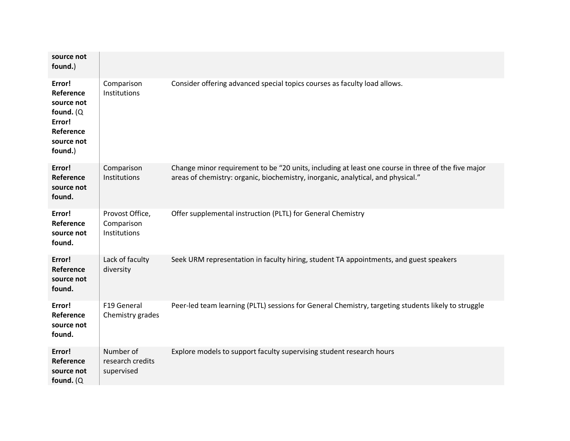| source not<br>found.)                                                                             |                                               |                                                                                                                                                                                        |
|---------------------------------------------------------------------------------------------------|-----------------------------------------------|----------------------------------------------------------------------------------------------------------------------------------------------------------------------------------------|
| Error!<br>Reference<br>source not<br>found. $(Q)$<br>Error!<br>Reference<br>source not<br>found.) | Comparison<br>Institutions                    | Consider offering advanced special topics courses as faculty load allows.                                                                                                              |
| Error!<br>Reference<br>source not<br>found.                                                       | Comparison<br>Institutions                    | Change minor requirement to be "20 units, including at least one course in three of the five major<br>areas of chemistry: organic, biochemistry, inorganic, analytical, and physical." |
| Error!<br>Reference<br>source not<br>found.                                                       | Provost Office,<br>Comparison<br>Institutions | Offer supplemental instruction (PLTL) for General Chemistry                                                                                                                            |
| Error!<br>Reference<br>source not<br>found.                                                       | Lack of faculty<br>diversity                  | Seek URM representation in faculty hiring, student TA appointments, and guest speakers                                                                                                 |
| Error!<br>Reference<br>source not<br>found.                                                       | F19 General<br>Chemistry grades               | Peer-led team learning (PLTL) sessions for General Chemistry, targeting students likely to struggle                                                                                    |
| Error!<br>Reference<br>source not<br>found. $(Q)$                                                 | Number of<br>research credits<br>supervised   | Explore models to support faculty supervising student research hours                                                                                                                   |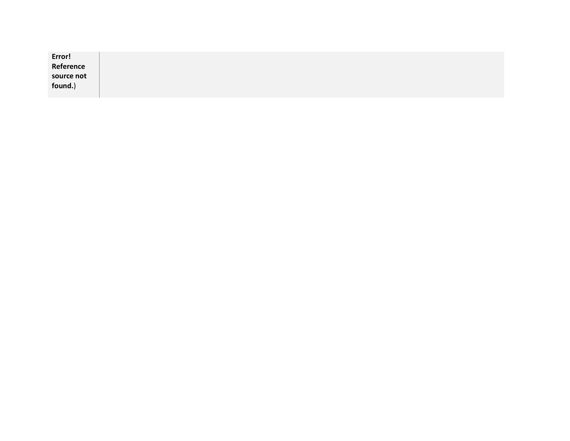| Error!<br>Reference |  |  |
|---------------------|--|--|
| source not          |  |  |
| found.)             |  |  |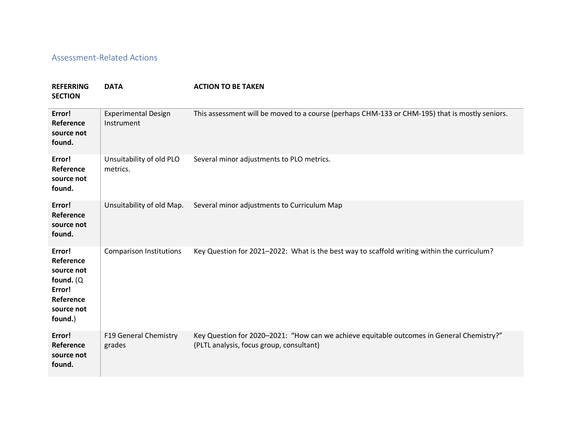### Assessment-Related Actions

# **REFERRING DATA ACTION TO BE TAKEN**

**SECTION**

| Error!<br>Reference<br>source not<br>found.                                                       | <b>Experimental Design</b><br>Instrument | This assessment will be moved to a course (perhaps CHM-133 or CHM-195) that is mostly seniors.                                        |
|---------------------------------------------------------------------------------------------------|------------------------------------------|---------------------------------------------------------------------------------------------------------------------------------------|
| Error!<br>Reference<br>source not<br>found.                                                       | Unsuitability of old PLO<br>metrics.     | Several minor adjustments to PLO metrics.                                                                                             |
| Error!<br>Reference<br>source not<br>found.                                                       | Unsuitability of old Map.                | Several minor adjustments to Curriculum Map                                                                                           |
| Error!<br>Reference<br>source not<br>found. $(Q)$<br>Error!<br>Reference<br>source not<br>found.) | <b>Comparison Institutions</b>           | Key Question for 2021-2022: What is the best way to scaffold writing within the curriculum?                                           |
| Error!<br>Reference<br>source not<br>found.                                                       | <b>F19 General Chemistry</b><br>grades   | Key Question for 2020-2021: "How can we achieve equitable outcomes in General Chemistry?"<br>(PLTL analysis, focus group, consultant) |